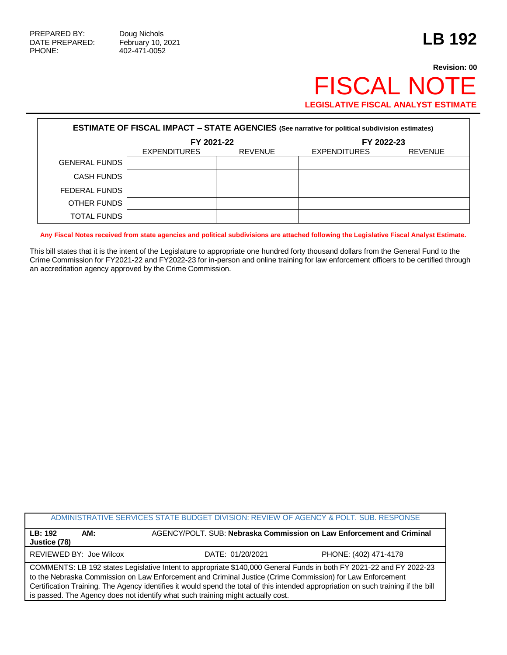## **Revision: 00** FISCAL NOTE **LEGISLATIVE FISCAL ANALYST ESTIMATE**

| <b>ESTIMATE OF FISCAL IMPACT - STATE AGENCIES (See narrative for political subdivision estimates)</b> |                     |                |                     |                |  |  |  |
|-------------------------------------------------------------------------------------------------------|---------------------|----------------|---------------------|----------------|--|--|--|
|                                                                                                       | FY 2021-22          |                | FY 2022-23          |                |  |  |  |
|                                                                                                       | <b>EXPENDITURES</b> | <b>REVENUE</b> | <b>EXPENDITURES</b> | <b>REVENUE</b> |  |  |  |
| <b>GENERAL FUNDS</b>                                                                                  |                     |                |                     |                |  |  |  |
| <b>CASH FUNDS</b>                                                                                     |                     |                |                     |                |  |  |  |
| FEDERAL FUNDS                                                                                         |                     |                |                     |                |  |  |  |
| OTHER FUNDS                                                                                           |                     |                |                     |                |  |  |  |
| TOTAL FUNDS                                                                                           |                     |                |                     |                |  |  |  |

**Any Fiscal Notes received from state agencies and political subdivisions are attached following the Legislative Fiscal Analyst Estimate.**

This bill states that it is the intent of the Legislature to appropriate one hundred forty thousand dollars from the General Fund to the Crime Commission for FY2021-22 and FY2022-23 for in-person and online training for law enforcement officers to be certified through an accreditation agency approved by the Crime Commission.

|                                                                                                                                                                                                                                                                                                                                                                                                                                                           | ADMINISTRATIVE SERVICES STATE BUDGET DIVISION: REVIEW OF AGENCY & POLT, SUB, RESPONSE |                       |  |  |
|-----------------------------------------------------------------------------------------------------------------------------------------------------------------------------------------------------------------------------------------------------------------------------------------------------------------------------------------------------------------------------------------------------------------------------------------------------------|---------------------------------------------------------------------------------------|-----------------------|--|--|
| AM:<br>LB:192<br>Justice (78)                                                                                                                                                                                                                                                                                                                                                                                                                             | AGENCY/POLT. SUB: Nebraska Commission on Law Enforcement and Criminal                 |                       |  |  |
| REVIEWED BY: Joe Wilcox                                                                                                                                                                                                                                                                                                                                                                                                                                   | DATE: 01/20/2021                                                                      | PHONE: (402) 471-4178 |  |  |
| COMMENTS: LB 192 states Legislative Intent to appropriate \$140,000 General Funds in both FY 2021-22 and FY 2022-23<br>to the Nebraska Commission on Law Enforcement and Criminal Justice (Crime Commission) for Law Enforcement<br>Certification Training. The Agency identifies it would spend the total of this intended appropriation on such training if the bill<br>is passed. The Agency does not identify what such training might actually cost. |                                                                                       |                       |  |  |
|                                                                                                                                                                                                                                                                                                                                                                                                                                                           |                                                                                       |                       |  |  |